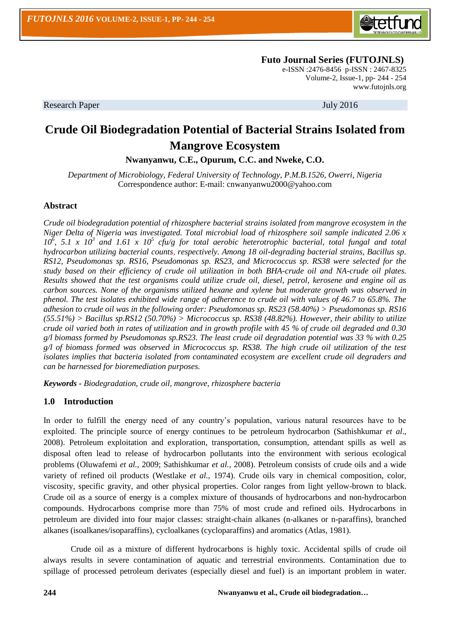

 **Futo Journal Series (FUTOJNLS)**

e-ISSN :2476-8456 p-ISSN : 2467-8325 Volume-2, Issue-1, pp- 244 - 254 [www.futojnls.org](http://www.futojnls.org/)

Research Paper July 2016

# **Crude Oil Biodegradation Potential of Bacterial Strains Isolated from Mangrove Ecosystem**

**Nwanyanwu, C.E., Opurum, C.C. and Nweke, C.O.**

*Department of Microbiology, Federal University of Technology, P.M.B.1526, Owerri, Nigeria* Correspondence author: E-mail: cnwanyanwu2000@yahoo.com

## **Abstract**

*Crude oil biodegradation potential of rhizosphere bacterial strains isolated from mangrove ecosystem in the Niger Delta of Nigeria was investigated. Total microbial load of rhizosphere soil sample indicated 2.06 x*  10<sup> $\delta$ </sup>, 5.1 x 10<sup>3</sup> and 1.61 x 10<sup>5</sup> cfu/g for total aerobic heterotrophic bacterial, total fungal and total *hydrocarbon utilizing bacterial counts, respectively. Among 18 oil-degrading bacterial strains, Bacillus sp. RS12, Pseudomonas sp. RS16, Pseudomonas sp. RS23, and Micrococcus sp. RS38 were selected for the study based on their efficiency of crude oil utilization in both BHA-crude oil and NA-crude oil plates. Results showed that the test organisms could utilize crude oil, diesel, petrol, kerosene and engine oil as carbon sources. None of the organisms utilized hexane and xylene but moderate growth was observed in phenol. The test isolates exhibited wide range of adherence to crude oil with values of 46.7 to 65.8%. The adhesion to crude oil was in the following order: Pseudomonas sp. RS23 (58.40%) > Pseudomonas sp. RS16 (55.51%) > Bacillus sp.RS12 (50.70%) > Micrococcus sp. RS38 (48.82%). However, their ability to utilize crude oil varied both in rates of utilization and in growth profile with 45 % of crude oil degraded and 0.30 g/l biomass formed by Pseudomonas sp.RS23. The least crude oil degradation potential was 33 % with 0.25 g/l of biomass formed was observed in Micrococcus sp. RS38. The high crude oil utilization of the test isolates implies that bacteria isolated from contaminated ecosystem are excellent crude oil degraders and can be harnessed for bioremediation purposes.*

*Keywords - Biodegradation, crude oil, mangrove, rhizosphere bacteria* 

#### **1.0 Introduction**

In order to fulfill the energy need of any country's population, various natural resources have to be exploited. The principle source of energy continues to be petroleum hydrocarbon (Sathishkumar *et al*., 2008). Petroleum exploitation and exploration, transportation, consumption, attendant spills as well as disposal often lead to release of hydrocarbon pollutants into the environment with serious ecological problems (Oluwafemi *et al.,* 2009; Sathishkumar *et al.,* 2008). Petroleum consists of crude oils and a wide variety of refined oil products (Westlake *et al.,* 1974). Crude oils vary in chemical composition, color, viscosity, specific gravity, and other physical properties. Color ranges from light yellow-brown to black. Crude oil as a source of energy is a complex mixture of thousands of hydrocarbons and non-hydrocarbon compounds. Hydrocarbons comprise more than 75% of most crude and refined oils. Hydrocarbons in petroleum are divided into four major classes: straight-chain alkanes (n-alkanes or n-paraffins), branched alkanes (isoalkanes/isoparaffins), cycloalkanes (cycloparaffins) and aromatics (Atlas, 1981).

Crude oil as a mixture of different hydrocarbons is highly toxic. Accidental spills of crude oil always results in severe contamination of aquatic and terrestrial environments. Contamination due to spillage of processed petroleum derivates (especially diesel and fuel) is an important problem in water.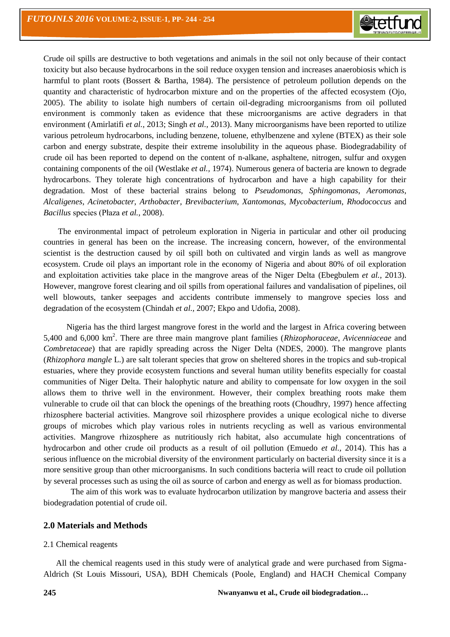Crude oil spills are destructive to both vegetations and animals in the soil not only because of their contact toxicity but also because hydrocarbons in the soil reduce oxygen tension and increases anaerobiosis which is harmful to plant roots (Bossert & Bartha, 1984). The persistence of petroleum pollution depends on the quantity and characteristic of hydrocarbon mixture and on the properties of the affected ecosystem (Ojo, 2005). The ability to isolate high numbers of certain oil-degrading microorganisms from oil polluted environment is commonly taken as evidence that these microorganisms are active degraders in that environment (Amirlatifi *et al.,* 2013; Singh *et al.,* 2013). Many microorganisms have been reported to utilize various petroleum hydrocarbons, including benzene, toluene, ethylbenzene and xylene (BTEX) as their sole carbon and energy substrate, despite their extreme insolubility in the aqueous phase. Biodegradability of crude oil has been reported to depend on the content of n-alkane, asphaltene, nitrogen, sulfur and oxygen containing components of the oil (Westlake *et al.,* 1974). Numerous genera of bacteria are known to degrade hydrocarbons. They tolerate high concentrations of hydrocarbon and have a high capability for their degradation. Most of these bacterial strains belong to *Pseudomonas*, *Sphingomonas*, *Aeromonas*, *Alcaligenes*, *Acinetobacter*, *Arthobacter*, *Brevibacterium*, *Xantomonas*, *Mycobacterium*, *Rhodococcus* and *Bacillus* species (Płaza *et al.,* 2008).

 The environmental impact of petroleum exploration in Nigeria in particular and other oil producing countries in general has been on the increase. The increasing concern, however, of the environmental scientist is the destruction caused by oil spill both on cultivated and virgin lands as well as mangrove ecosystem. Crude oil plays an important role in the economy of Nigeria and about 80% of oil exploration and exploitation activities take place in the mangrove areas of the Niger Delta (Ebegbulem *et al.,* 2013). However, mangrove forest clearing and oil spills from operational failures and vandalisation of pipelines, oil well blowouts, tanker seepages and accidents contribute immensely to mangrove species loss and degradation of the ecosystem (Chindah *et al.,* 2007; Ekpo and Udofia, 2008).

 Nigeria has the third largest mangrove forest in the world and the largest in Africa covering between 5,400 and 6,000 km<sup>2</sup> . There are three main mangrove plant families (*Rhizophoraceae*, *Avicenniaceae* and *Combretaceae*) that are rapidly spreading across the Niger Delta (NDES, 2000). The mangrove plants (*Rhizophora mangle* L.) are salt tolerant species that grow on sheltered shores in the tropics and sub-tropical estuaries, where they provide ecosystem functions and several human utility benefits especially for coastal communities of Niger Delta. Their halophytic nature and ability to compensate for low oxygen in the soil allows them to thrive well in the environment. However, their complex breathing roots make them vulnerable to crude oil that can block the openings of the breathing roots (Choudhry, 1997) hence affecting rhizosphere bacterial activities. Mangrove soil rhizosphere provides a unique ecological niche to diverse groups of microbes which play various roles in nutrients recycling as well as various environmental activities. Mangrove rhizosphere as nutritiously rich habitat, also accumulate high concentrations of hydrocarbon and other crude oil products as a result of oil pollution (Emuedo *et al.,* 2014). This has a serious influence on the microbial diversity of the environment particularly on bacterial diversity since it is a more sensitive group than other microorganisms. In such conditions bacteria will react to crude oil pollution by several processes such as using the oil as source of carbon and energy as well as for biomass production.

The aim of this work was to evaluate hydrocarbon utilization by mangrove bacteria and assess their biodegradation potential of crude oil.

#### **2.0 Materials and Methods**

#### 2.1 Chemical reagents

 All the chemical reagents used in this study were of analytical grade and were purchased from Sigma-Aldrich (St Louis Missouri, USA), BDH Chemicals (Poole, England) and HACH Chemical Company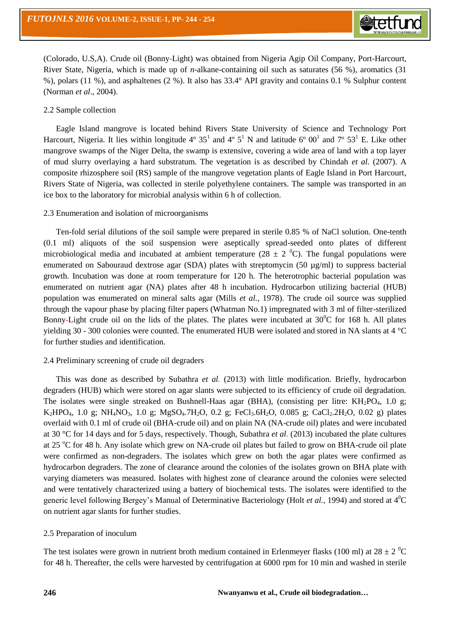(Colorado, U.S,A). Crude oil (Bonny-Light) was obtained from Nigeria Agip Oil Company, Port-Harcourt, River State, Nigeria, which is made up of *n*-alkane-containing oil such as saturates (56 %), aromatics (31 %), polars (11 %), and asphaltenes (2 %). It also has 33.4° API gravity and contains 0.1 % Sulphur content (Norman *et al*., 2004).

#### 2.2 Sample collection

 Eagle Island mangrove is located behind Rivers State University of Science and Technology Port Harcourt, Nigeria. It lies within longitude  $4^{\circ} 35^1$  and  $4^{\circ} 5^1$  N and latitude  $6^{\circ} 00^1$  and  $7^{\circ} 53^1$  E. Like other mangrove swamps of the Niger Delta, the swamp is extensive, covering a wide area of land with a top layer of mud slurry overlaying a hard substratum. The vegetation is as described by Chindah *et al.* (2007). A composite rhizosphere soil (RS) sample of the mangrove vegetation plants of Eagle Island in Port Harcourt, Rivers State of Nigeria, was collected in sterile polyethylene containers. The sample was transported in an ice box to the laboratory for microbial analysis within 6 h of collection.

## 2.3 Enumeration and isolation of microorganisms

 Ten-fold serial dilutions of the soil sample were prepared in sterile 0.85 % of NaCl solution. One-tenth (0.1 ml) aliquots of the soil suspension were aseptically spread-seeded onto plates of different microbiological media and incubated at ambient temperature (28  $\pm$  2  $^0$ C). The fungal populations were enumerated on Sabouraud dextrose agar (SDA) plates with streptomycin (50  $\mu$ g/ml) to suppress bacterial growth. Incubation was done at room temperature for 120 h. The heterotrophic bacterial population was enumerated on nutrient agar (NA) plates after 48 h incubation. Hydrocarbon utilizing bacterial (HUB) population was enumerated on mineral salts agar (Mills *et al.,* 1978). The crude oil source was supplied through the vapour phase by placing filter papers (Whatman No.1) impregnated with 3 ml of filter-sterilized Bonny-Light crude oil on the lids of the plates. The plates were incubated at  $30^{\circ}$ C for 168 h. All plates yielding 30 - 300 colonies were counted. The enumerated HUB were isolated and stored in NA slants at 4 °C for further studies and identification.

#### 2.4 Preliminary screening of crude oil degraders

 This was done as described by Subathra *et al.* (2013) with little modification. Briefly, hydrocarbon degraders (HUB) which were stored on agar slants were subjected to its efficiency of crude oil degradation. The isolates were single streaked on Bushnell-Haas agar (BHA), (consisting per litre:  $KH_2PO_4$ , 1.0 g; K<sub>2</sub>HPO<sub>4</sub>, 1.0 g; NH<sub>4</sub>NO<sub>3</sub>, 1.0 g; MgSO<sub>4</sub>.7H<sub>2</sub>O, 0.2 g; FeCl<sub>3</sub>.6H<sub>2</sub>O, 0.085 g; CaCl<sub>2</sub>.2H<sub>2</sub>O, 0.02 g) plates overlaid with 0.1 ml of crude oil (BHA-crude oil) and on plain NA (NA-crude oil) plates and were incubated at 30 °C for 14 days and for 5 days, respectively. Though, Subathra *et al.* (2013) incubated the plate cultures at 25 °C for 48 h. Any isolate which grew on NA-crude oil plates but failed to grow on BHA-crude oil plate were confirmed as non-degraders. The isolates which grew on both the agar plates were confirmed as hydrocarbon degraders. The zone of clearance around the colonies of the isolates grown on BHA plate with varying diameters was measured. Isolates with highest zone of clearance around the colonies were selected and were tentatively characterized using a battery of biochemical tests. The isolates were identified to the generic level following Bergey's Manual of Determinative Bacteriology (Holt *et al.,* 1994) and stored at 4<sup>0</sup>C on nutrient agar slants for further studies.

### 2.5 Preparation of inoculum

The test isolates were grown in nutrient broth medium contained in Erlenmeyer flasks (100 ml) at  $28 \pm 2$  <sup>o</sup>C for 48 h. Thereafter, the cells were harvested by centrifugation at 6000 rpm for 10 min and washed in sterile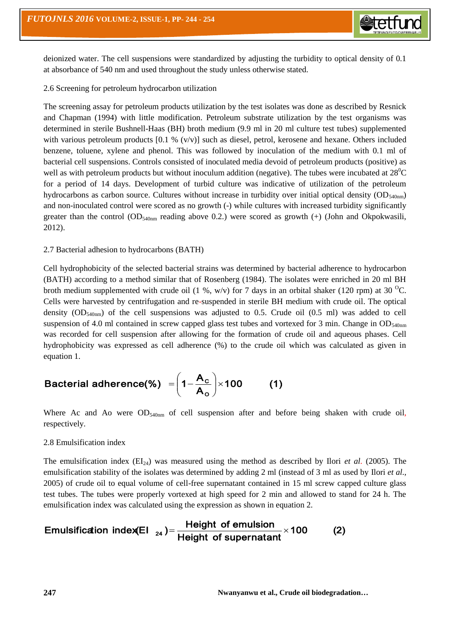

deionized water. The cell suspensions were standardized by adjusting the turbidity to optical density of 0.1 at absorbance of 540 nm and used throughout the study unless otherwise stated.

### 2.6 Screening for petroleum hydrocarbon utilization

The screening assay for petroleum products utilization by the test isolates was done as described by Resnick and Chapman (1994) with little modification. Petroleum substrate utilization by the test organisms was determined in sterile Bushnell-Haas (BH) broth medium (9.9 ml in 20 ml culture test tubes) supplemented with various petroleum products  $[0.1 \frac{\omega}{\omega}]$  such as diesel, petrol, kerosene and hexane. Others included benzene, toluene, xylene and phenol. This was followed by inoculation of the medium with 0.1 ml of bacterial cell suspensions. Controls consisted of inoculated media devoid of petroleum products (positive) as well as with petroleum products but without inoculum addition (negative). The tubes were incubated at  $28^{\circ}$ C for a period of 14 days. Development of turbid culture was indicative of utilization of the petroleum hydrocarbons as carbon source. Cultures without increase in turbidity over initial optical density (OD<sub>540nm</sub>) and non-inoculated control were scored as no growth (-) while cultures with increased turbidity significantly greater than the control (OD<sub>540nm</sub> reading above 0.2.) were scored as growth (+) (John and Okpokwasili, 2012).

#### 2.7 Bacterial adhesion to hydrocarbons (BATH)

Cell hydrophobicity of the selected bacterial strains was determined by bacterial adherence to hydrocarbon (BATH) according to a method similar that of Rosenberg (1984). The isolates were enriched in 20 ml BH broth medium supplemented with crude oil (1 %, w/v) for 7 days in an orbital shaker (120 rpm) at 30 <sup>o</sup>C. Cells were harvested by centrifugation and re-suspended in sterile BH medium with crude oil. The optical density  $OD_{540nm}$  of the cell suspensions was adjusted to 0.5. Crude oil (0.5 ml) was added to cell suspension of 4.0 ml contained in screw capped glass test tubes and vortexed for 3 min. Change in  $OD_{540nm}$ was recorded for cell suspension after allowing for the formation of crude oil and aqueous phases. Cell hydrophobicity was expressed as cell adherence (%) to the crude oil which was calculated as given in equation 1.

Bacterial adherence(\*) 
$$
=\left(1-\frac{A_c}{A_o}\right)\times 100
$$
 (1)

Where Ac and Ao were  $OD_{540nm}$  of cell suspension after and before being shaken with crude oil, respectively.

#### 2.8 Emulsification index

The emulsification index  $(EI_{24})$  was measured using the method as described by Ilori *et al.* (2005). The emulsification stability of the isolates was determined by adding 2 ml (instead of 3 ml as used by Ilori *et al.*, 2005) of crude oil to equal volume of cell-free supernatant contained in 15 ml screw capped culture glass test tubes. The tubes were properly vortexed at high speed for 2 min and allowed to stand for 24 h. The emulsification index was calculated using the expression as shown in equation 2.

$$
Emulsification index(EI_{24}) = \frac{Height \ of \ emulsion}{Height \ of \ supernatant} \times 100
$$
 (2)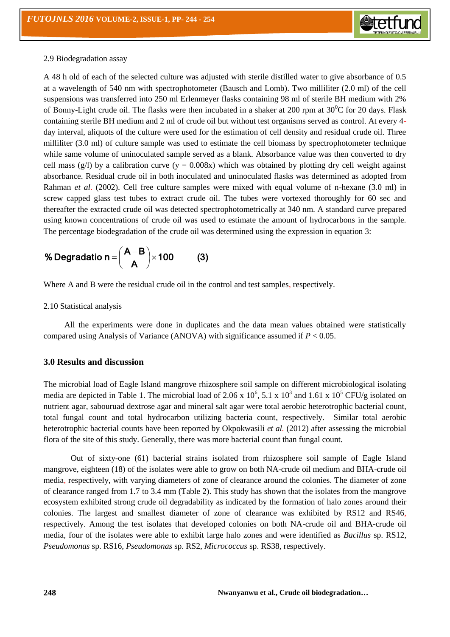

#### 2.9 Biodegradation assay

A 48 h old of each of the selected culture was adjusted with sterile distilled water to give absorbance of 0.5 at a wavelength of 540 nm with spectrophotometer (Bausch and Lomb). Two milliliter (2.0 ml) of the cell suspensions was transferred into 250 ml Erlenmeyer flasks containing 98 ml of sterile BH medium with 2% of Bonny-Light crude oil. The flasks were then incubated in a shaker at 200 rpm at  $30^{\circ}$ C for 20 days. Flask containing sterile BH medium and 2 ml of crude oil but without test organisms served as control. At every 4 day interval, aliquots of the culture were used for the estimation of cell density and residual crude oil. Three milliliter (3.0 ml) of culture sample was used to estimate the cell biomass by spectrophotometer technique while same volume of uninoculated sample served as a blank. Absorbance value was then converted to dry cell mass (g/l) by a calibration curve (y = 0.008x) which was obtained by plotting dry cell weight against absorbance. Residual crude oil in both inoculated and uninoculated flasks was determined as adopted from Rahman *et al*. (2002). Cell free culture samples were mixed with equal volume of n-hexane (3.0 ml) in screw capped glass test tubes to extract crude oil. The tubes were vortexed thoroughly for 60 sec and thereafter the extracted crude oil was detected spectrophotometrically at 340 nm. A standard curve prepared using known concentrations of crude oil was used to estimate the amount of hydrocarbons in the sample. The percentage biodegradation of the crude oil was determined using the expression in equation 3:

% Degradatio n = 
$$
\left(\frac{A-B}{A}\right) \times 100
$$
 (3)

Where A and B were the residual crude oil in the control and test samples, respectively.

2.10 Statistical analysis

 All the experiments were done in duplicates and the data mean values obtained were statistically compared using Analysis of Variance (ANOVA) with significance assumed if *P* < 0.05.

## **3.0 Results and discussion**

The microbial load of Eagle Island mangrove rhizosphere soil sample on different microbiological isolating media are depicted in Table 1. The microbial load of 2.06 x  $10^6$ , 5.1 x  $10^3$  and 1.61 x  $10^5$  CFU/g isolated on nutrient agar, sabouruad dextrose agar and mineral salt agar were total aerobic heterotrophic bacterial count, total fungal count and total hydrocarbon utilizing bacteria count, respectively. Similar total aerobic heterotrophic bacterial counts have been reported by Okpokwasili *et al.* (2012) after assessing the microbial flora of the site of this study. Generally, there was more bacterial count than fungal count.

Out of sixty-one (61) bacterial strains isolated from rhizosphere soil sample of Eagle Island mangrove, eighteen (18) of the isolates were able to grow on both NA-crude oil medium and BHA-crude oil media, respectively, with varying diameters of zone of clearance around the colonies. The diameter of zone of clearance ranged from 1.7 to 3.4 mm (Table 2). This study has shown that the isolates from the mangrove ecosystem exhibited strong crude oil degradability as indicated by the formation of halo zones around their colonies. The largest and smallest diameter of zone of clearance was exhibited by RS12 and RS46, respectively. Among the test isolates that developed colonies on both NA-crude oil and BHA-crude oil media, four of the isolates were able to exhibit large halo zones and were identified as *Bacillus* sp. RS12, *Pseudomonas* sp. RS16, *Pseudomonas* sp. RS2, *Micrococcus* sp. RS38, respectively.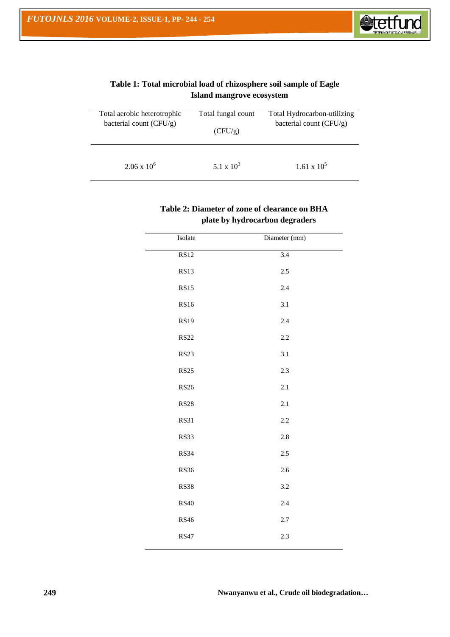

| Total aerobic heterotrophic | Total fungal count | Total Hydrocarbon-utilizing |
|-----------------------------|--------------------|-----------------------------|
| bacterial count $(CFU/g)$   | (CFU/g)            | bacterial count (CFU/g)     |
| $2.06 \times 10^6$          | 5.1 x $10^3$       | $1.61 \times 10^{5}$        |

# **Table 1: Total microbial load of rhizosphere soil sample of Eagle Island mangrove ecosystem**

# **Table 2: Diameter of zone of clearance on BHA plate by hydrocarbon degraders**

| Isolate     | Diameter (mm)    |  |
|-------------|------------------|--|
| <b>RS12</b> | $\overline{3.4}$ |  |
| <b>RS13</b> | 2.5              |  |
| <b>RS15</b> | 2.4              |  |
| <b>RS16</b> | 3.1              |  |
| <b>RS19</b> | 2.4              |  |
| <b>RS22</b> | 2.2              |  |
| <b>RS23</b> | 3.1              |  |
| <b>RS25</b> | 2.3              |  |
| <b>RS26</b> | 2.1              |  |
| <b>RS28</b> | 2.1              |  |
| <b>RS31</b> | 2.2              |  |
| <b>RS33</b> | $2.8\,$          |  |
| <b>RS34</b> | $2.5\,$          |  |
| <b>RS36</b> | 2.6              |  |
| <b>RS38</b> | 3.2              |  |
| <b>RS40</b> | 2.4              |  |
| <b>RS46</b> | $2.7\,$          |  |
| <b>RS47</b> | 2.3              |  |
|             |                  |  |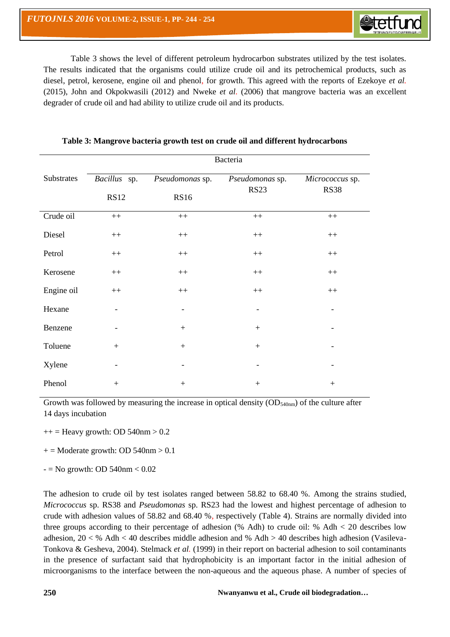Table 3 shows the level of different petroleum hydrocarbon substrates utilized by the test isolates. The results indicated that the organisms could utilize crude oil and its petrochemical products, such as diesel, petrol, kerosene, engine oil and phenol, for growth. This agreed with the reports of Ezekoye *et al.* (2015), John and Okpokwasili (2012) and Nweke *et al.* (2006) that mangrove bacteria was an excellent degrader of crude oil and had ability to utilize crude oil and its products.

|            |              |                          | Bacteria                       |                                |
|------------|--------------|--------------------------|--------------------------------|--------------------------------|
| Substrates | Bacillus sp. | Pseudomonas sp.          | Pseudomonas sp.<br><b>RS23</b> | Micrococcus sp.<br><b>RS38</b> |
|            | <b>RS12</b>  | <b>RS16</b>              |                                |                                |
| Crude oil  | $++$         | $^{++}\,$                | $^{++}\,$                      | $^{++}\,$                      |
| Diesel     | $++$         | $^{\rm ++}$              | $++$                           | $++$                           |
| Petrol     | $^{++}\,$    | $^{++}\,$                | $^{++}\,$                      | $++$                           |
| Kerosene   | $^{++}\,$    | $\boldsymbol{++}$        | $^{++}\,$                      | $^{++}\,$                      |
| Engine oil | $++$         | $++$                     | $++$                           | $++$                           |
| Hexane     |              | $\overline{\phantom{a}}$ |                                |                                |
| Benzene    |              |                          | $+$                            |                                |
| Toluene    | $+$          | $+$                      | $+$                            |                                |
| Xylene     |              |                          |                                |                                |
| Phenol     | $+$          |                          | $+$                            | $\boldsymbol{+}$               |

# **Table 3: Mangrove bacteria growth test on crude oil and different hydrocarbons**

Growth was followed by measuring the increase in optical density  $OD_{540nm}$  of the culture after 14 days incubation

 $++$  = Heavy growth: OD 540nm > 0.2

 $+=$  Moderate growth: OD 540nm > 0.1

 $-$  = No growth: OD 540nm  $< 0.02$ 

The adhesion to crude oil by test isolates ranged between 58.82 to 68.40 %. Among the strains studied, *Micrococcus* sp. RS38 and *Pseudomonas* sp. RS23 had the lowest and highest percentage of adhesion to crude with adhesion values of 58.82 and 68.40 %, respectively (Table 4). Strains are normally divided into three groups according to their percentage of adhesion (% Adh) to crude oil: % Adh < 20 describes low adhesion, 20 < % Adh < 40 describes middle adhesion and % Adh > 40 describes high adhesion (Vasileva-Tonkova & Gesheva, 2004). Stelmack *et al.* (1999) in their report on bacterial adhesion to soil contaminants in the presence of surfactant said that hydrophobicity is an important factor in the initial adhesion of microorganisms to the interface between the non-aqueous and the aqueous phase. A number of species of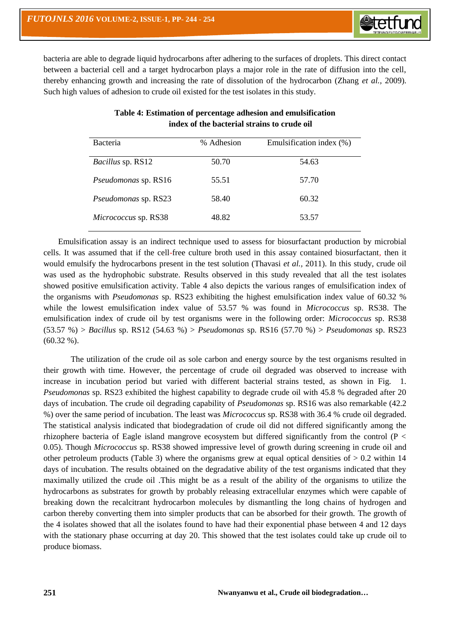bacteria are able to degrade liquid hydrocarbons after adhering to the surfaces of droplets. This direct contact between a bacterial cell and a target hydrocarbon plays a major role in the rate of diffusion into the cell, thereby enhancing growth and increasing the rate of dissolution of the hydrocarbon (Zhang *et al.,* 2009). Such high values of adhesion to crude oil existed for the test isolates in this study.

| Bacteria                    | % Adhesion | Emulsification index (%) |
|-----------------------------|------------|--------------------------|
| <i>Bacillus</i> sp. RS12    | 50.70      | 54.63                    |
| <i>Pseudomonas sp. RS16</i> | 55.51      | 57.70                    |
| <i>Pseudomonas sp. RS23</i> | 58.40      | 60.32                    |
| Micrococcus sp. RS38        | 48.82      | 53.57                    |

# **Table 4: Estimation of percentage adhesion and emulsification index of the bacterial strains to crude oil**

 Emulsification assay is an indirect technique used to assess for biosurfactant production by microbial cells. It was assumed that if the cell-free culture broth used in this assay contained biosurfactant, then it would emulsify the hydrocarbons present in the test solution (Thavasi *et al.,* 2011). In this study, crude oil was used as the hydrophobic substrate. Results observed in this study revealed that all the test isolates showed positive emulsification activity. Table 4 also depicts the various ranges of emulsification index of the organisms with *Pseudomonas* sp. RS23 exhibiting the highest emulsification index value of 60.32 % while the lowest emulsification index value of 53.57 % was found in *Micrococcus* sp. RS38. The emulsification index of crude oil by test organisms were in the following order: *Micrococcus* sp. RS38 (53.57 %) > *Bacillus* sp. RS12 (54.63 %) > *Pseudomonas* sp. RS16 (57.70 %) > *Pseudomonas* sp. RS23  $(60.32\%).$ 

The utilization of the crude oil as sole carbon and energy source by the test organisms resulted in their growth with time. However, the percentage of crude oil degraded was observed to increase with increase in incubation period but varied with different bacterial strains tested, as shown in Fig. *Pseudomonas* sp. RS23 exhibited the highest capability to degrade crude oil with 45.8 % degraded after 20 days of incubation. The crude oil degrading capability of *Pseudomonas* sp. RS16 was also remarkable (42.2 %) over the same period of incubation. The least was *Micrococcus* sp. RS38 with 36.4 % crude oil degraded. The statistical analysis indicated that biodegradation of crude oil did not differed significantly among the rhizophere bacteria of Eagle island mangrove ecosystem but differed significantly from the control ( $P \lt$ 0.05). Though *Micrococcus* sp. RS38 showed impressive level of growth during screening in crude oil and other petroleum products (Table 3) where the organisms grew at equal optical densities of  $> 0.2$  within 14 days of incubation. The results obtained on the degradative ability of the test organisms indicated that they maximally utilized the crude oil .This might be as a result of the ability of the organisms to utilize the hydrocarbons as substrates for growth by probably releasing extracellular enzymes which were capable of breaking down the recalcitrant hydrocarbon molecules by dismantling the long chains of hydrogen and carbon thereby converting them into simpler products that can be absorbed for their growth. The growth of the 4 isolates showed that all the isolates found to have had their exponential phase between 4 and 12 days with the stationary phase occurring at day 20. This showed that the test isolates could take up crude oil to produce biomass.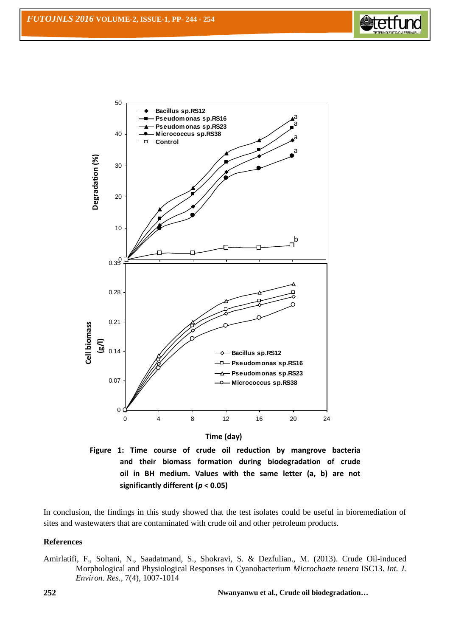



**Time (day)**

**Figure 1: Time course of crude oil reduction by mangrove bacteria and their biomass formation during biodegradation of crude oil in BH medium. Values with the same letter (a, b) are not significantly different (***p* **< 0.05)**

In conclusion, the findings in this study showed that the test isolates could be useful in bioremediation of sites and wastewaters that are contaminated with crude oil and other petroleum products.

## **References**

Amirlatifi, F., Soltani, N., Saadatmand, S., Shokravi, S. & Dezfulian., M. (2013). Crude Oil-induced Morphological and Physiological Responses in Cyanobacterium *Microchaete tenera* ISC13. *Int. J. Environ. Res.,* 7(4), 1007-1014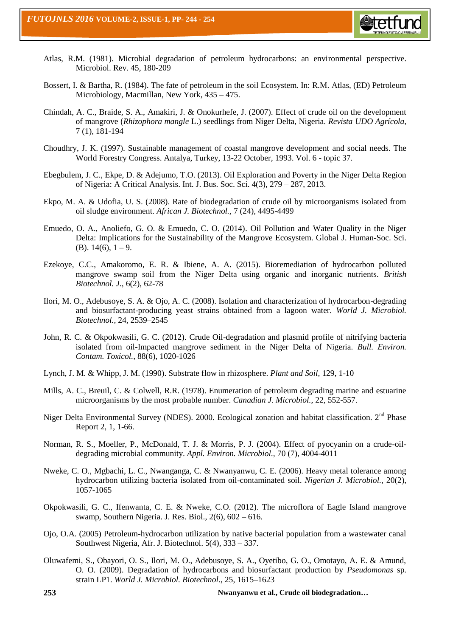

- Atlas, R.M. (1981). Microbial degradation of petroleum hydrocarbons: an environmental perspective. Microbiol. Rev. 45, 180-209
- Bossert, I. & Bartha, R. (1984). The fate of petroleum in the soil Ecosystem. In: R.M. Atlas, (ED) Petroleum Microbiology, Macmillan, New York, 435 – 475.
- Chindah, A. C., Braide, S. A., Amakiri, J. & Onokurhefe, J. (2007). Effect of crude oil on the development of mangrove (*Rhizophora mangle* L.) seedlings from Niger Delta, Nigeria. *Revista UDO Agrícola,* 7 (1), 181-194
- Choudhry, J. K. (1997). Sustainable management of coastal mangrove development and social needs. The World Forestry Congress. Antalya, Turkey, 13-22 October, 1993. Vol. 6 - topic 37.
- Ebegbulem, J. C., Ekpe, D. & Adejumo, T.O. (2013). Oil Exploration and Poverty in the Niger Delta Region of Nigeria: A Critical Analysis. Int. J. Bus. Soc. Sci. 4(3), 279 – 287, 2013.
- Ekpo, M. A. & Udofia, U. S. (2008). Rate of biodegradation of crude oil by microorganisms isolated from oil sludge environment. *African J. Biotechnol.,* 7 (24), 4495-4499
- Emuedo, O. A., Anoliefo, G. O. & Emuedo, C. O. (2014). Oil Pollution and Water Quality in the Niger Delta: Implications for the Sustainability of the Mangrove Ecosystem. Global J. Human-Soc. Sci. (B).  $14(6)$ ,  $1-9$ .
- Ezekoye, C.C., Amakoromo, E. R. & Ibiene, A. A. (2015). Bioremediation of hydrocarbon polluted mangrove swamp soil from the Niger Delta using organic and inorganic nutrients. *British Biotechnol. J.,* 6(2), 62-78
- Ilori, M. O., Adebusoye, S. A. & Ojo, A. C. (2008). Isolation and characterization of hydrocarbon-degrading and biosurfactant-producing yeast strains obtained from a lagoon water. *World J. Microbiol. Biotechnol.,* 24, 2539–2545
- John, R. C. & Okpokwasili, G. C. (2012). Crude Oil-degradation and plasmid profile of nitrifying bacteria isolated from oil-Impacted mangrove sediment in the Niger Delta of Nigeria. *Bull. Environ. Contam. Toxicol.,* 88(6), 1020-1026
- Lynch, J. M. & Whipp, J. M. (1990). Substrate flow in rhizosphere. *Plant and Soil,* 129, 1-10
- Mills, A. C., Breuil, C. & Colwell, R.R. (1978). Enumeration of petroleum degrading marine and estuarine microorganisms by the most probable number. *Canadian J. Microbiol.*, 22, 552-557.
- Niger Delta Environmental Survey (NDES). 2000. Ecological zonation and habitat classification. 2<sup>nd</sup> Phase Report 2, 1, 1-66.
- Norman, R. S., Moeller, P., McDonald, T. J. & Morris, P. J. (2004). Effect of pyocyanin on a crude-oildegrading microbial community. *Appl. Environ. Microbiol.,* 70 (7), 4004-4011
- Nweke, C. O., Mgbachi, L. C., Nwanganga, C. & Nwanyanwu, C. E. (2006). Heavy metal tolerance among hydrocarbon utilizing bacteria isolated from oil-contaminated soil. *Nigerian J. Microbiol.*, 20(2), 1057-1065
- Okpokwasili, G. C., Ifenwanta, C. E. & Nweke, C.O. (2012). The microflora of Eagle Island mangrove swamp, Southern Nigeria. J. Res. Biol., 2(6), 602 – 616.
- Ojo, O.A. (2005) Petroleum-hydrocarbon utilization by native bacterial population from a wastewater canal Southwest Nigeria, Afr. J. Biotechnol. 5(4), 333 – 337.
- Oluwafemi, S., Obayori, O. S., Ilori, M. O., Adebusoye, S. A., Oyetibo, G. O., Omotayo, A. E. & Amund, O. O. (2009). Degradation of hydrocarbons and biosurfactant production by *Pseudomonas* sp. strain LP1. *World J. Microbiol. Biotechnol.*, 25, 1615–1623